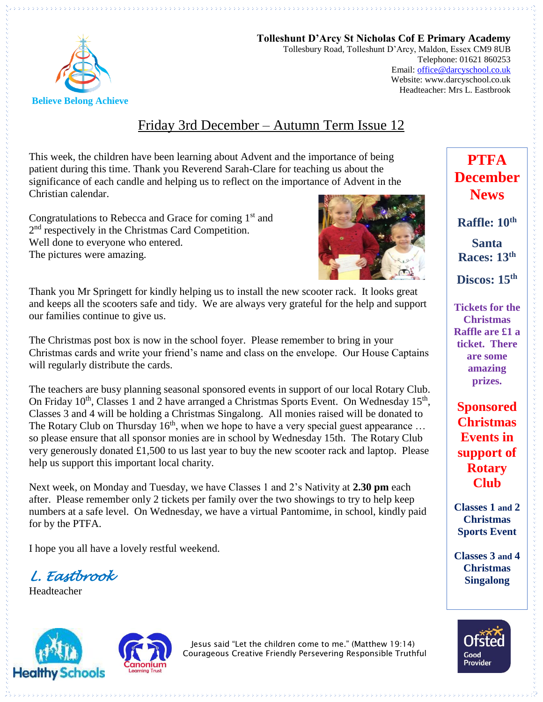

**Tolleshunt D'Arcy St Nicholas Cof E Primary Academy** Tollesbury Road, Tolleshunt D'Arcy, Maldon, Essex CM9 8UB Telephone: 01621 860253 Email[: office@darcyschool.co.uk](mailto:office@darcyschool.co.uk) Website: www.darcyschool.co.uk Headteacher: Mrs L. Eastbrook

## Friday 3rd December – Autumn Term Issue 12

This week, the children have been learning about Advent and the importance of being patient during this time. Thank you Reverend Sarah-Clare for teaching us about the significance of each candle and helping us to reflect on the importance of Advent in the Christian calendar.

Congratulations to Rebecca and Grace for coming  $1<sup>st</sup>$  and 2<sup>nd</sup> respectively in the Christmas Card Competition. Well done to everyone who entered. The pictures were amazing.



Thank you Mr Springett for kindly helping us to install the new scooter rack. It looks great and keeps all the scooters safe and tidy. We are always very grateful for the help and support our families continue to give us.

The Christmas post box is now in the school foyer. Please remember to bring in your Christmas cards and write your friend's name and class on the envelope. Our House Captains will regularly distribute the cards.

The teachers are busy planning seasonal sponsored events in support of our local Rotary Club. On Friday  $10^{th}$ , Classes 1 and 2 have arranged a Christmas Sports Event. On Wednesday  $15^{th}$ , Classes 3 and 4 will be holding a Christmas Singalong. All monies raised will be donated to The Rotary Club on Thursday  $16<sup>th</sup>$ , when we hope to have a very special guest appearance ... so please ensure that all sponsor monies are in school by Wednesday 15th. The Rotary Club very generously donated £1,500 to us last year to buy the new scooter rack and laptop. Please help us support this important local charity.

Next week, on Monday and Tuesday, we have Classes 1 and 2's Nativity at **2.30 pm** each after. Please remember only 2 tickets per family over the two showings to try to help keep numbers at a safe level. On Wednesday, we have a virtual Pantomime, in school, kindly paid for by the PTFA.

I hope you all have a lovely restful weekend.

*L. Eastbrook* 

Headteacher





Jesus said "Let the children come to me." (Matthew 19:14) Courageous Creative Friendly Persevering Responsible Truthful

**PTFA December News**

**Raffle: 10th**

**Santa Races: 13th**

**Discos: 15th**

**Tickets for the Christmas Raffle are £1 a ticket. There are some amazing prizes.** 

**Sponsored Christmas Events in support of Rotary Club**

**Classes 1 and 2 Christmas Sports Event**

**Classes 3 and 4 Christmas Singalong**